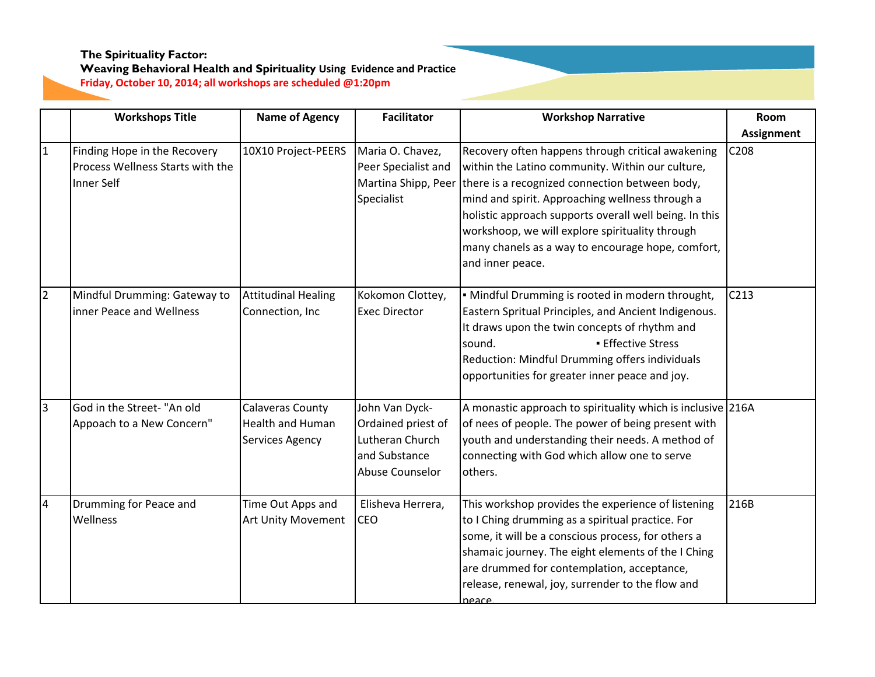|                | <b>Workshops Title</b>                                                                | <b>Name of Agency</b>                                                        | <b>Facilitator</b>                                                                          | <b>Workshop Narrative</b>                                                                                                                                                                                                                                                                                                                                                                        | Room              |
|----------------|---------------------------------------------------------------------------------------|------------------------------------------------------------------------------|---------------------------------------------------------------------------------------------|--------------------------------------------------------------------------------------------------------------------------------------------------------------------------------------------------------------------------------------------------------------------------------------------------------------------------------------------------------------------------------------------------|-------------------|
|                |                                                                                       |                                                                              |                                                                                             |                                                                                                                                                                                                                                                                                                                                                                                                  | <b>Assignment</b> |
| $\mathbf{1}$   | Finding Hope in the Recovery<br>Process Wellness Starts with the<br><b>Inner Self</b> | 10X10 Project-PEERS                                                          | Maria O. Chavez,<br>Peer Specialist and<br>Martina Shipp, Peer<br>Specialist                | Recovery often happens through critical awakening<br>within the Latino community. Within our culture,<br>there is a recognized connection between body,<br>mind and spirit. Approaching wellness through a<br>holistic approach supports overall well being. In this<br>workshoop, we will explore spirituality through<br>many chanels as a way to encourage hope, comfort,<br>and inner peace. | C208              |
| $\overline{2}$ | Mindful Drumming: Gateway to<br>inner Peace and Wellness                              | <b>Attitudinal Healing</b><br>Connection, Inc                                | Kokomon Clottey,<br><b>Exec Director</b>                                                    | · Mindful Drumming is rooted in modern throught,<br>Eastern Spritual Principles, and Ancient Indigenous.<br>It draws upon the twin concepts of rhythm and<br><b>Effective Stress</b><br>sound.<br>Reduction: Mindful Drumming offers individuals<br>opportunities for greater inner peace and joy.                                                                                               | C <sub>213</sub>  |
| $\overline{3}$ | God in the Street- "An old<br>Appoach to a New Concern"                               | <b>Calaveras County</b><br><b>Health and Human</b><br><b>Services Agency</b> | John Van Dyck-<br>Ordained priest of<br>Lutheran Church<br>and Substance<br>Abuse Counselor | A monastic approach to spirituality which is inclusive 216A<br>of nees of people. The power of being present with<br>youth and understanding their needs. A method of<br>connecting with God which allow one to serve<br>others.                                                                                                                                                                 |                   |
| $\overline{4}$ | Drumming for Peace and<br>Wellness                                                    | Time Out Apps and<br><b>Art Unity Movement</b>                               | Elisheva Herrera,<br><b>CEO</b>                                                             | This workshop provides the experience of listening<br>to I Ching drumming as a spiritual practice. For<br>some, it will be a conscious process, for others a<br>shamaic journey. The eight elements of the I Ching<br>are drummed for contemplation, acceptance,<br>release, renewal, joy, surrender to the flow and<br>neace                                                                    | 216B              |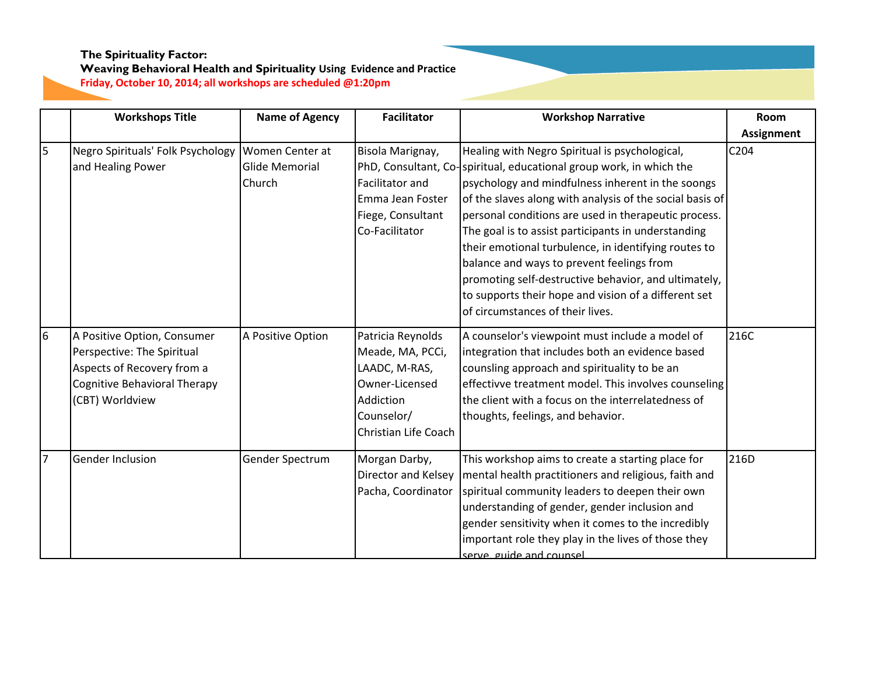|                | <b>Workshops Title</b>            | <b>Name of Agency</b> | <b>Facilitator</b>   | <b>Workshop Narrative</b>                                           | Room              |
|----------------|-----------------------------------|-----------------------|----------------------|---------------------------------------------------------------------|-------------------|
|                |                                   |                       |                      |                                                                     | <b>Assignment</b> |
| 5              | Negro Spirituals' Folk Psychology | Women Center at       | Bisola Marignay,     | Healing with Negro Spiritual is psychological,                      | C204              |
|                | and Healing Power                 | Glide Memorial        |                      | PhD, Consultant, Co-spiritual, educational group work, in which the |                   |
|                |                                   | <b>Church</b>         | Facilitator and      | psychology and mindfulness inherent in the soongs                   |                   |
|                |                                   |                       | Emma Jean Foster     | of the slaves along with analysis of the social basis of            |                   |
|                |                                   |                       | Fiege, Consultant    | personal conditions are used in therapeutic process.                |                   |
|                |                                   |                       | Co-Facilitator       | The goal is to assist participants in understanding                 |                   |
|                |                                   |                       |                      | their emotional turbulence, in identifying routes to                |                   |
|                |                                   |                       |                      | balance and ways to prevent feelings from                           |                   |
|                |                                   |                       |                      | promoting self-destructive behavior, and ultimately,                |                   |
|                |                                   |                       |                      | to supports their hope and vision of a different set                |                   |
|                |                                   |                       |                      | of circumstances of their lives.                                    |                   |
| 6              | A Positive Option, Consumer       | A Positive Option     | Patricia Reynolds    | A counselor's viewpoint must include a model of                     | 216C              |
|                | Perspective: The Spiritual        |                       | Meade, MA, PCCi,     | integration that includes both an evidence based                    |                   |
|                | Aspects of Recovery from a        |                       | LAADC, M-RAS,        | counsling approach and spirituality to be an                        |                   |
|                | Cognitive Behavioral Therapy      |                       | Owner-Licensed       | effectivve treatment model. This involves counseling                |                   |
|                | (CBT) Worldview                   |                       | Addiction            | the client with a focus on the interrelatedness of                  |                   |
|                |                                   |                       | Counselor/           | thoughts, feelings, and behavior.                                   |                   |
|                |                                   |                       | Christian Life Coach |                                                                     |                   |
| $\overline{7}$ | <b>Gender Inclusion</b>           | Gender Spectrum       | Morgan Darby,        | This workshop aims to create a starting place for                   | 216D              |
|                |                                   |                       | Director and Kelsey  | mental health practitioners and religious, faith and                |                   |
|                |                                   |                       | Pacha, Coordinator   | spiritual community leaders to deepen their own                     |                   |
|                |                                   |                       |                      | understanding of gender, gender inclusion and                       |                   |
|                |                                   |                       |                      | gender sensitivity when it comes to the incredibly                  |                   |
|                |                                   |                       |                      | important role they play in the lives of those they                 |                   |
|                |                                   |                       |                      | serve, guide and counsel                                            |                   |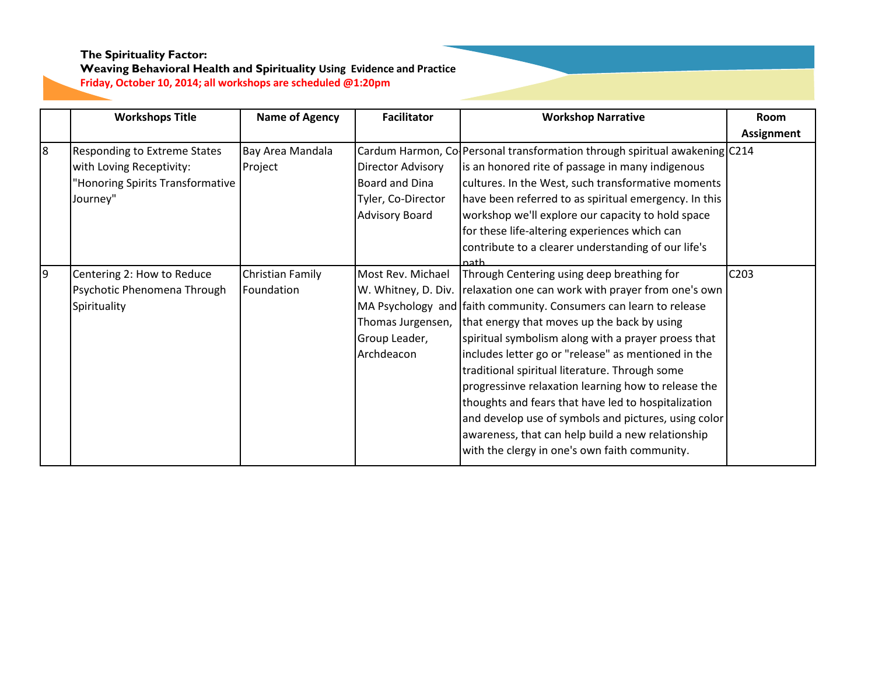|   | <b>Workshops Title</b>              | <b>Name of Agency</b> | <b>Facilitator</b>       | <b>Workshop Narrative</b>                                                  | <b>Room</b> |
|---|-------------------------------------|-----------------------|--------------------------|----------------------------------------------------------------------------|-------------|
|   |                                     |                       |                          |                                                                            | Assignment  |
| 8 | <b>Responding to Extreme States</b> | Bay Area Mandala      |                          | Cardum Harmon, Co Personal transformation through spiritual awakening C214 |             |
|   | with Loving Receptivity:            | Project               | <b>Director Advisory</b> | is an honored rite of passage in many indigenous                           |             |
|   | "Honoring Spirits Transformative    |                       | Board and Dina           | cultures. In the West, such transformative moments                         |             |
|   | Journey"                            |                       | Tyler, Co-Director       | have been referred to as spiritual emergency. In this                      |             |
|   |                                     |                       | <b>Advisory Board</b>    | workshop we'll explore our capacity to hold space                          |             |
|   |                                     |                       |                          | for these life-altering experiences which can                              |             |
|   |                                     |                       |                          | contribute to a clearer understanding of our life's                        |             |
|   |                                     |                       |                          | nath                                                                       |             |
| 9 | Centering 2: How to Reduce          | Christian Family      | Most Rev. Michael        | Through Centering using deep breathing for                                 | C203        |
|   | Psychotic Phenomena Through         | Foundation            |                          | W. Whitney, D. Div. relaxation one can work with prayer from one's own     |             |
|   | Spirituality                        |                       |                          | MA Psychology and faith community. Consumers can learn to release          |             |
|   |                                     |                       | Thomas Jurgensen,        | that energy that moves up the back by using                                |             |
|   |                                     |                       | Group Leader,            | spiritual symbolism along with a prayer proess that                        |             |
|   |                                     |                       | Archdeacon               | includes letter go or "release" as mentioned in the                        |             |
|   |                                     |                       |                          | traditional spiritual literature. Through some                             |             |
|   |                                     |                       |                          | progressinve relaxation learning how to release the                        |             |
|   |                                     |                       |                          | thoughts and fears that have led to hospitalization                        |             |
|   |                                     |                       |                          | and develop use of symbols and pictures, using color                       |             |
|   |                                     |                       |                          | awareness, that can help build a new relationship                          |             |
|   |                                     |                       |                          | with the clergy in one's own faith community.                              |             |
|   |                                     |                       |                          |                                                                            |             |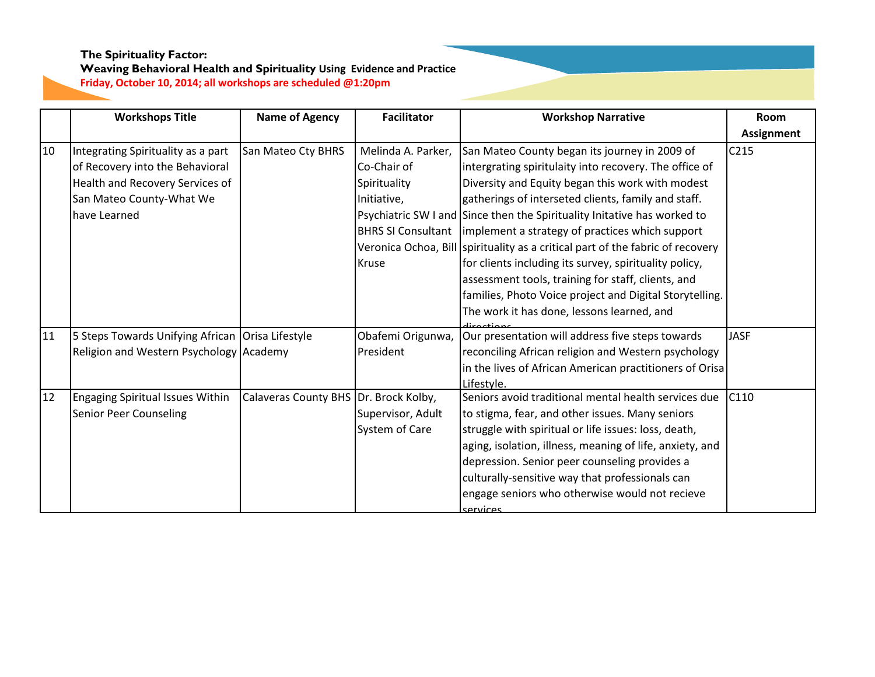|    | <b>Workshops Title</b>                             | <b>Name of Agency</b>                 | <b>Facilitator</b> | <b>Workshop Narrative</b>                                                      | Room              |
|----|----------------------------------------------------|---------------------------------------|--------------------|--------------------------------------------------------------------------------|-------------------|
|    |                                                    |                                       |                    |                                                                                | <b>Assignment</b> |
| 10 | Integrating Spirituality as a part                 | San Mateo Cty BHRS                    | Melinda A. Parker, | San Mateo County began its journey in 2009 of                                  | C215              |
|    | of Recovery into the Behavioral                    |                                       | Co-Chair of        | intergrating spiritulaity into recovery. The office of                         |                   |
|    | Health and Recovery Services of                    |                                       | Spirituality       | Diversity and Equity began this work with modest                               |                   |
|    | San Mateo County-What We                           |                                       | Initiative,        | gatherings of interseted clients, family and staff.                            |                   |
|    | have Learned                                       |                                       |                    | Psychiatric SW I and Since then the Spirituality Initative has worked to       |                   |
|    |                                                    |                                       |                    | BHRS SI Consultant limplement a strategy of practices which support            |                   |
|    |                                                    |                                       |                    | Veronica Ochoa, Bill Spirituality as a critical part of the fabric of recovery |                   |
|    |                                                    |                                       | <b>Kruse</b>       | for clients including its survey, spirituality policy,                         |                   |
|    |                                                    |                                       |                    | assessment tools, training for staff, clients, and                             |                   |
|    |                                                    |                                       |                    | families, Photo Voice project and Digital Storytelling.                        |                   |
|    |                                                    |                                       |                    | The work it has done, lessons learned, and                                     |                   |
| 11 | 5 Steps Towards Unifying African   Orisa Lifestyle |                                       | Obafemi Origunwa,  | Our presentation will address five steps towards                               | <b>JASF</b>       |
|    | Religion and Western Psychology Academy            |                                       | President          | reconciling African religion and Western psychology                            |                   |
|    |                                                    |                                       |                    | in the lives of African American practitioners of Orisa                        |                   |
|    |                                                    |                                       |                    | Lifestyle.                                                                     |                   |
| 12 | <b>Engaging Spiritual Issues Within</b>            | Calaveras County BHS Dr. Brock Kolby, |                    | Seniors avoid traditional mental health services due                           | C110              |
|    | <b>Senior Peer Counseling</b>                      |                                       | Supervisor, Adult  | to stigma, fear, and other issues. Many seniors                                |                   |
|    |                                                    |                                       | System of Care     | struggle with spiritual or life issues: loss, death,                           |                   |
|    |                                                    |                                       |                    | aging, isolation, illness, meaning of life, anxiety, and                       |                   |
|    |                                                    |                                       |                    | depression. Senior peer counseling provides a                                  |                   |
|    |                                                    |                                       |                    | culturally-sensitive way that professionals can                                |                   |
|    |                                                    |                                       |                    | engage seniors who otherwise would not recieve                                 |                   |
|    |                                                    |                                       |                    | senvires                                                                       |                   |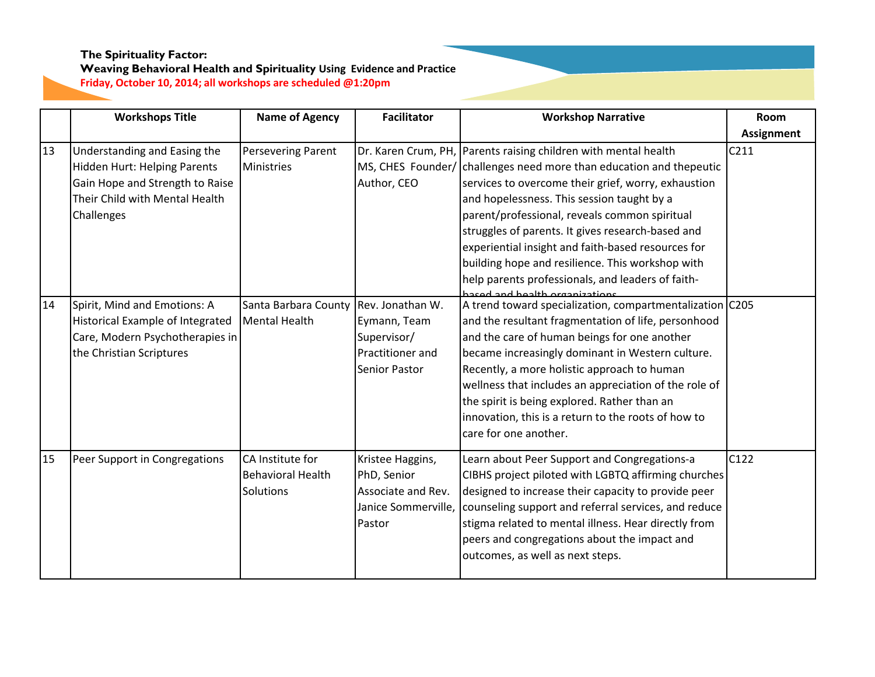|    | <b>Workshops Title</b>                                                                                                                          | <b>Name of Agency</b>                                     | <b>Facilitator</b>                                                                          | <b>Workshop Narrative</b>                                                                                                                                                                                                                                                                                                                                                                                                                                                                                                                         | <b>Room</b>       |
|----|-------------------------------------------------------------------------------------------------------------------------------------------------|-----------------------------------------------------------|---------------------------------------------------------------------------------------------|---------------------------------------------------------------------------------------------------------------------------------------------------------------------------------------------------------------------------------------------------------------------------------------------------------------------------------------------------------------------------------------------------------------------------------------------------------------------------------------------------------------------------------------------------|-------------------|
|    |                                                                                                                                                 |                                                           |                                                                                             |                                                                                                                                                                                                                                                                                                                                                                                                                                                                                                                                                   | <b>Assignment</b> |
| 13 | Understanding and Easing the<br>Hidden Hurt: Helping Parents<br>Gain Hope and Strength to Raise<br>Their Child with Mental Health<br>Challenges | Persevering Parent<br>Ministries                          | Author, CEO                                                                                 | Dr. Karen Crum, PH, Parents raising children with mental health<br>MS, CHES Founder/ challenges need more than education and thepeutic<br>services to overcome their grief, worry, exhaustion<br>and hopelessness. This session taught by a<br>parent/professional, reveals common spiritual<br>struggles of parents. It gives research-based and<br>experiential insight and faith-based resources for<br>building hope and resilience. This workshop with<br>help parents professionals, and leaders of faith-<br>and and health arganizations. | C <sub>211</sub>  |
| 14 | Spirit, Mind and Emotions: A<br>Historical Example of Integrated<br>Care, Modern Psychotherapies in<br>the Christian Scriptures                 | Santa Barbara County<br>Mental Health                     | Rev. Jonathan W.<br>Eymann, Team<br>Supervisor/<br>Practitioner and<br><b>Senior Pastor</b> | A trend toward specialization, compartmentalization C205<br>and the resultant fragmentation of life, personhood<br>and the care of human beings for one another<br>became increasingly dominant in Western culture.<br>Recently, a more holistic approach to human<br>wellness that includes an appreciation of the role of<br>the spirit is being explored. Rather than an<br>innovation, this is a return to the roots of how to<br>care for one another.                                                                                       |                   |
| 15 | Peer Support in Congregations                                                                                                                   | CA Institute for<br>Behavioral Health<br><b>Solutions</b> | Kristee Haggins,<br>PhD, Senior<br>Associate and Rev.<br>Janice Sommerville,<br>Pastor      | Learn about Peer Support and Congregations-a<br>CIBHS project piloted with LGBTQ affirming churches<br>designed to increase their capacity to provide peer<br>counseling support and referral services, and reduce<br>stigma related to mental illness. Hear directly from<br>peers and congregations about the impact and<br>outcomes, as well as next steps.                                                                                                                                                                                    | C122              |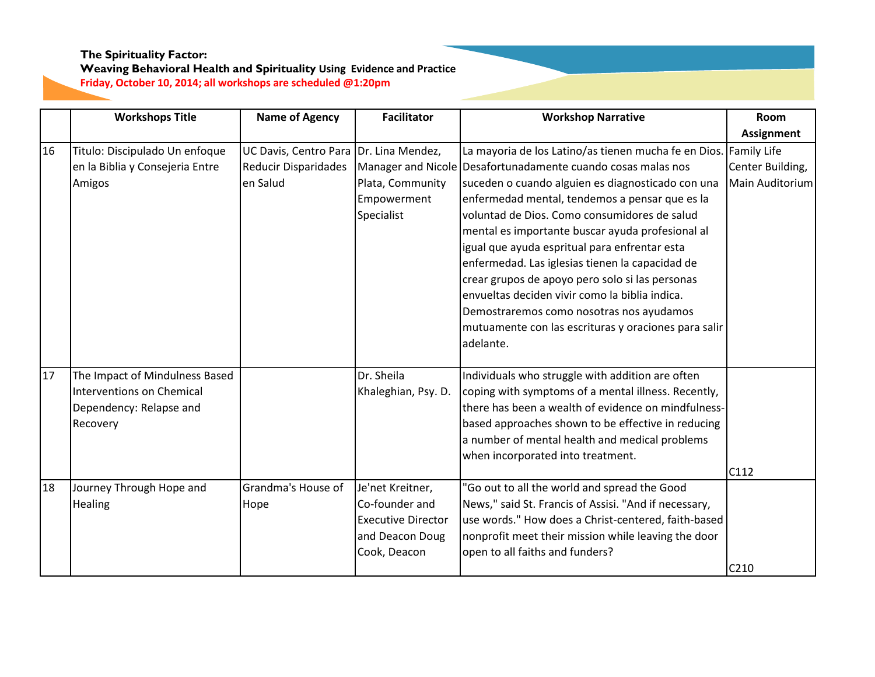|    | <b>Workshops Title</b>           | <b>Name of Agency</b>       | <b>Facilitator</b>        | <b>Workshop Narrative</b>                                        | Room              |
|----|----------------------------------|-----------------------------|---------------------------|------------------------------------------------------------------|-------------------|
|    |                                  |                             |                           |                                                                  | <b>Assignment</b> |
| 16 | Titulo: Discipulado Un enfoque   | UC Davis, Centro Para       | Dr. Lina Mendez,          | La mayoria de los Latino/as tienen mucha fe en Dios. Family Life |                   |
|    | en la Biblia y Consejeria Entre  | <b>Reducir Disparidades</b> |                           | Manager and Nicole Desafortunadamente cuando cosas malas nos     | Center Building,  |
|    | Amigos                           | en Salud                    | Plata, Community          | suceden o cuando alguien es diagnosticado con una                | Main Auditorium   |
|    |                                  |                             | Empowerment               | enfermedad mental, tendemos a pensar que es la                   |                   |
|    |                                  |                             | Specialist                | voluntad de Dios. Como consumidores de salud                     |                   |
|    |                                  |                             |                           | mental es importante buscar ayuda profesional al                 |                   |
|    |                                  |                             |                           | igual que ayuda espritual para enfrentar esta                    |                   |
|    |                                  |                             |                           | enfermedad. Las iglesias tienen la capacidad de                  |                   |
|    |                                  |                             |                           | crear grupos de apoyo pero solo si las personas                  |                   |
|    |                                  |                             |                           | envueltas deciden vivir como la biblia indica.                   |                   |
|    |                                  |                             |                           | Demostraremos como nosotras nos ayudamos                         |                   |
|    |                                  |                             |                           | mutuamente con las escrituras y oraciones para salir             |                   |
|    |                                  |                             |                           | adelante.                                                        |                   |
|    |                                  |                             |                           |                                                                  |                   |
| 17 | The Impact of Mindulness Based   |                             | Dr. Sheila                | Individuals who struggle with addition are often                 |                   |
|    | <b>Interventions on Chemical</b> |                             | Khaleghian, Psy. D.       | coping with symptoms of a mental illness. Recently,              |                   |
|    | Dependency: Relapse and          |                             |                           | there has been a wealth of evidence on mindfulness-              |                   |
|    | Recovery                         |                             |                           | based approaches shown to be effective in reducing               |                   |
|    |                                  |                             |                           | a number of mental health and medical problems                   |                   |
|    |                                  |                             |                           | when incorporated into treatment.                                |                   |
|    |                                  |                             |                           |                                                                  | C112              |
| 18 | Journey Through Hope and         | Grandma's House of          | Je'net Kreitner,          | 'Go out to all the world and spread the Good                     |                   |
|    | Healing                          | Hope                        | Co-founder and            | News," said St. Francis of Assisi. "And if necessary,            |                   |
|    |                                  |                             | <b>Executive Director</b> | use words." How does a Christ-centered, faith-based              |                   |
|    |                                  |                             | and Deacon Doug           | nonprofit meet their mission while leaving the door              |                   |
|    |                                  |                             | Cook, Deacon              | open to all faiths and funders?                                  |                   |
|    |                                  |                             |                           |                                                                  | C210              |